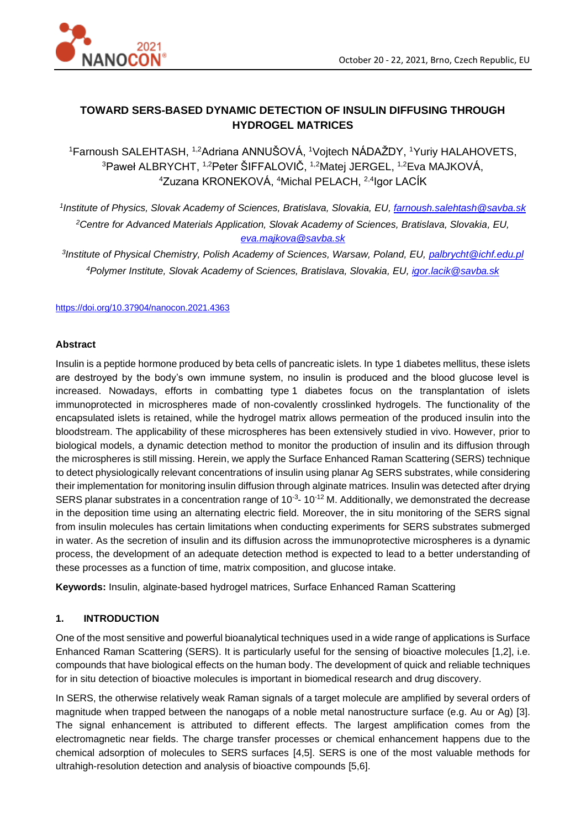

# **TOWARD SERS-BASED DYNAMIC DETECTION OF INSULIN DIFFUSING THROUGH HYDROGEL MATRICES**

<sup>1</sup>Farnoush SALEHTASH, 1,2Adriana ANNUŠOVÁ, <sup>1</sup>Vojtech NÁDAŽDY, <sup>1</sup>Yuriy HALAHOVETS,  $^3$ Paweł ALBRYCHT,  $^{1,2}$ Peter ŠIFFALOVIČ,  $^{1,2}$ Matej JERGEL,  $^{1,2}$ Eva MAJKOVÁ, <sup>4</sup>Zuzana KRONEKOVÁ, <sup>4</sup>Michal PELACH, 2,4 Igor LACÍK

*1 Institute of Physics, Slovak Academy of Sciences, Bratislava, Slovakia, EU, [farnoush.salehtash@savba.sk](mailto:farnoush.salehtash@savba.sk) <sup>2</sup>Centre for Advanced Materials Application, Slovak Academy of Sciences, Bratislava, Slovakia, EU, [eva.majkova@savba.sk](mailto:eva.majkova@savba.sk)*

*3 Institute of Physical Chemistry, Polish Academy of Sciences, Warsaw, Poland, EU, palbrycht@ichf.edu.pl <sup>4</sup>Polymer Institute, Slovak Academy of Sciences, Bratislava, Slovakia, EU, igor.lacik@savba.sk*

#### <https://doi.org/10.37904/nanocon.2021.4363>

#### **Abstract**

Insulin is a peptide hormone produced by beta cells of pancreatic islets. In type 1 diabetes mellitus, these islets are destroyed by the body's own immune system, no insulin is produced and the blood glucose level is increased. Nowadays, efforts in combatting type 1 diabetes focus on the transplantation of islets immunoprotected in microspheres made of non-covalently crosslinked hydrogels. The functionality of the encapsulated islets is retained, while the hydrogel matrix allows permeation of the produced insulin into the bloodstream. The applicability of these microspheres has been extensively studied in vivo. However, prior to biological models, a dynamic detection method to monitor the production of insulin and its diffusion through the microspheres is still missing. Herein, we apply the Surface Enhanced Raman Scattering (SERS) technique to detect physiologically relevant concentrations of insulin using planar Ag SERS substrates, while considering their implementation for monitoring insulin diffusion through alginate matrices. Insulin was detected after drying SERS planar substrates in a concentration range of  $10^{-3}$ -  $10^{-12}$  M. Additionally, we demonstrated the decrease in the deposition time using an alternating electric field. Moreover, the in situ monitoring of the SERS signal from insulin molecules has certain limitations when conducting experiments for SERS substrates submerged in water. As the secretion of insulin and its diffusion across the immunoprotective microspheres is a dynamic process, the development of an adequate detection method is expected to lead to a better understanding of these processes as a function of time, matrix composition, and glucose intake.

**Keywords:** Insulin, alginate-based hydrogel matrices, Surface Enhanced Raman Scattering

## **1. INTRODUCTION**

One of the most sensitive and powerful bioanalytical techniques used in a wide range of applications is Surface Enhanced Raman Scattering (SERS). It is particularly useful for the sensing of bioactive molecules [1,2], i.e. compounds that have biological effects on the human body. The development of quick and reliable techniques for in situ detection of bioactive molecules is important in biomedical research and drug discovery.

In SERS, the otherwise relatively weak Raman signals of a target molecule are amplified by several orders of magnitude when trapped between the nanogaps of a noble metal nanostructure surface (e.g. Au or Ag) [3]. The signal enhancement is attributed to different effects. The largest amplification comes from the electromagnetic near fields. The charge transfer processes or chemical enhancement happens due to the chemical adsorption of molecules to SERS surfaces [4,5]. SERS is one of the most valuable methods for ultrahigh-resolution detection and analysis of bioactive compounds [5,6].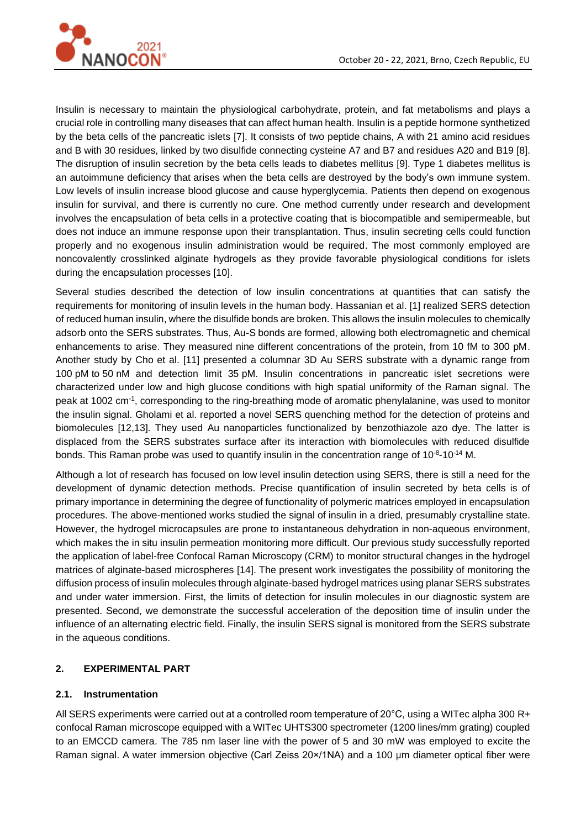

Insulin is necessary to maintain the physiological carbohydrate, protein, and fat metabolisms and plays a crucial role in controlling many diseases that can affect human health. Insulin is a peptide hormone synthetized by the beta cells of the pancreatic islets [7]. It consists of two peptide chains, A with 21 amino acid residues and B with 30 residues, linked by two disulfide connecting cysteine A7 and B7 and residues A20 and B19 [8]. The disruption of insulin secretion by the beta cells leads to diabetes mellitus [9]. Type 1 diabetes mellitus is an autoimmune deficiency that arises when the beta cells are destroyed by the body's own immune system. Low levels of insulin increase blood glucose and cause hyperglycemia. Patients then depend on exogenous insulin for survival, and there is currently no cure. One method currently under research and development involves the encapsulation of beta cells in a protective coating that is biocompatible and semipermeable, but does not induce an immune response upon their transplantation. Thus, insulin secreting cells could function properly and no exogenous insulin administration would be required. The most commonly employed are noncovalently crosslinked alginate hydrogels as they provide favorable physiological conditions for islets during the encapsulation processes [10].

Several studies described the detection of low insulin concentrations at quantities that can satisfy the requirements for monitoring of insulin levels in the human body. Hassanian et al. [1] realized SERS detection of reduced human insulin, where the disulfide bonds are broken. This allows the insulin molecules to chemically adsorb onto the SERS substrates. Thus, Au-S bonds are formed, allowing both electromagnetic and chemical enhancements to arise. They measured nine different concentrations of the protein, from 10 fM to 300 pM. Another study by Cho et al. [11] presented a columnar 3D Au SERS substrate with a dynamic range from 100 pM to 50 nM and detection limit 35 pM. Insulin concentrations in pancreatic islet secretions were characterized under low and high glucose conditions with high spatial uniformity of the Raman signal. The peak at 1002 cm<sup>-1</sup>, corresponding to the ring-breathing mode of aromatic phenylalanine, was used to monitor the insulin signal. Gholami et al. reported a novel SERS quenching method for the detection of proteins and biomolecules [12,13]. They used Au nanoparticles functionalized by benzothiazole azo dye. The latter is displaced from the SERS substrates surface after its interaction with biomolecules with reduced disulfide bonds. This Raman probe was used to quantify insulin in the concentration range of 10<sup>-8</sup>-10<sup>-14</sup> M.

Although a lot of research has focused on low level insulin detection using SERS, there is still a need for the development of dynamic detection methods. Precise quantification of insulin secreted by beta cells is of primary importance in determining the degree of functionality of polymeric matrices employed in encapsulation procedures. The above-mentioned works studied the signal of insulin in a dried, presumably crystalline state. However, the hydrogel microcapsules are prone to instantaneous dehydration in non-aqueous environment, which makes the in situ insulin permeation monitoring more difficult. Our previous study successfully reported the application of label-free Confocal Raman Microscopy (CRM) to monitor structural changes in the hydrogel matrices of alginate-based microspheres [14]. The present work investigates the possibility of monitoring the diffusion process of insulin molecules through alginate-based hydrogel matrices using planar SERS substrates and under water immersion. First, the limits of detection for insulin molecules in our diagnostic system are presented. Second, we demonstrate the successful acceleration of the deposition time of insulin under the influence of an alternating electric field. Finally, the insulin SERS signal is monitored from the SERS substrate in the aqueous conditions.

## **2. EXPERIMENTAL PART**

## **2.1. Instrumentation**

All SERS experiments were carried out at a controlled room temperature of 20°C, using a WITec alpha 300 R+ confocal Raman microscope equipped with a WITec UHTS300 spectrometer (1200 lines/mm grating) coupled to an EMCCD camera. The 785 nm laser line with the power of 5 and 30 mW was employed to excite the Raman signal. A water immersion objective (Carl Zeiss 20×/1NA) and a 100 μm diameter optical fiber were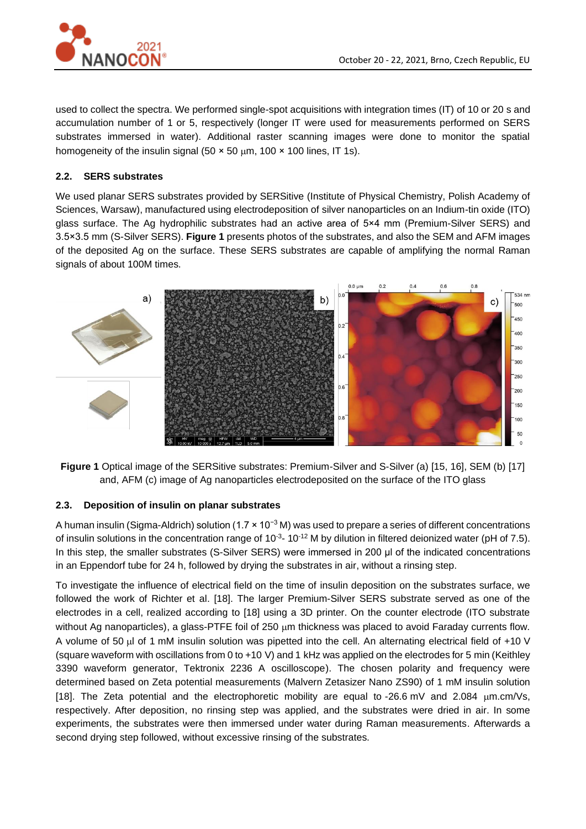

used to collect the spectra. We performed single-spot acquisitions with integration times (IT) of 10 or 20 s and accumulation number of 1 or 5, respectively (longer IT were used for measurements performed on SERS substrates immersed in water). Additional raster scanning images were done to monitor the spatial homogeneity of the insulin signal (50  $\times$  50  $\mu$ m, 100  $\times$  100 lines, IT 1s).

# **2.2. SERS substrates**

We used planar SERS substrates provided by SERSitive (Institute of Physical Chemistry, Polish Academy of Sciences, Warsaw), manufactured using electrodeposition of silver nanoparticles on an Indium-tin oxide (ITO) glass surface. The Ag hydrophilic substrates had an active area of 5×4 mm (Premium-Silver SERS) and 3.5×3.5 mm (S-Silver SERS). **Figure 1** presents photos of the substrates, and also the SEM and AFM images of the deposited Ag on the surface. These SERS substrates are capable of amplifying the normal Raman signals of about 100M times.



**Figure 1** Optical image of the SERSitive substrates: Premium-Silver and S-Silver (a) [15, 16], SEM (b) [17] and, AFM (c) image of Ag nanoparticles electrodeposited on the surface of the ITO glass

## **2.3. Deposition of insulin on planar substrates**

A human insulin (Sigma-Aldrich) solution (1.7 × 10−3 M) was used to prepare a series of different concentrations of insulin solutions in the concentration range of  $10^{-3}$ - 10<sup>-12</sup> M by dilution in filtered deionized water (pH of 7.5). In this step, the smaller substrates (S-Silver SERS) were immersed in 200 μl of the indicated concentrations in an Eppendorf tube for 24 h, followed by drying the substrates in air, without a rinsing step.

To investigate the influence of electrical field on the time of insulin deposition on the substrates surface, we followed the work of Richter et al. [18]. The larger Premium-Silver SERS substrate served as one of the electrodes in a cell, realized according to [18] using a 3D printer. On the counter electrode (ITO substrate without Ag nanoparticles), a glass-PTFE foil of 250 µm thickness was placed to avoid Faraday currents flow. A volume of 50  $\mu$  of 1 mM insulin solution was pipetted into the cell. An alternating electrical field of +10 V (square waveform with oscillations from 0 to +10 V) and 1 kHz was applied on the electrodes for 5 min (Keithley 3390 waveform generator, Tektronix 2236 A oscilloscope). The chosen polarity and frequency were determined based on Zeta potential measurements (Malvern Zetasizer Nano ZS90) of 1 mM insulin solution [18]. The Zeta potential and the electrophoretic mobility are equal to -26.6 mV and 2.084  $\mu$ m.cm/Vs, respectively. After deposition, no rinsing step was applied, and the substrates were dried in air. In some experiments, the substrates were then immersed under water during Raman measurements. Afterwards a second drying step followed, without excessive rinsing of the substrates.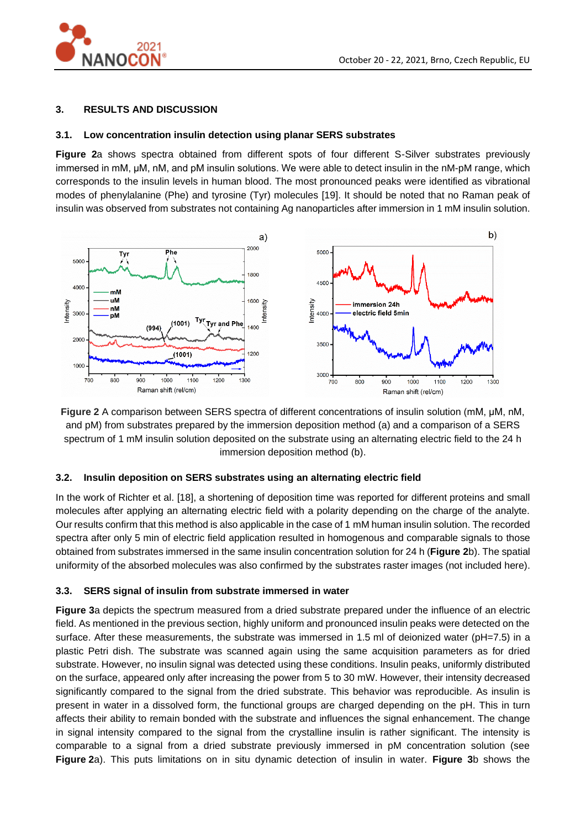

## **3. RESULTS AND DISCUSSION**

## **3.1. Low concentration insulin detection using planar SERS substrates**

**Figure 2**a shows spectra obtained from different spots of four different S-Silver substrates previously immersed in mM, µM, nM, and pM insulin solutions. We were able to detect insulin in the nM-pM range, which corresponds to the insulin levels in human blood. The most pronounced peaks were identified as vibrational modes of phenylalanine (Phe) and tyrosine (Tyr) molecules [19]. It should be noted that no Raman peak of insulin was observed from substrates not containing Ag nanoparticles after immersion in 1 mM insulin solution.



**Figure 2** A comparison between SERS spectra of different concentrations of insulin solution (mM, µM, nM, and pM) from substrates prepared by the immersion deposition method (a) and a comparison of a SERS spectrum of 1 mM insulin solution deposited on the substrate using an alternating electric field to the 24 h immersion deposition method (b).

## **3.2. Insulin deposition on SERS substrates using an alternating electric field**

In the work of Richter et al. [18], a shortening of deposition time was reported for different proteins and small molecules after applying an alternating electric field with a polarity depending on the charge of the analyte. Our results confirm that this method is alsoapplicable in the case of 1 mM human insulin solution. The recorded spectra after only 5 min of electric field application resulted in homogenous and comparable signals to those obtained from substrates immersed in the same insulin concentration solution for 24 h (**Figure 2**b). The spatial uniformity of the absorbed molecules was also confirmed by the substrates raster images (not included here).

## **3.3. SERS signal of insulin from substrate immersed in water**

**Figure 3**a depicts the spectrum measured from a dried substrate prepared under the influence of an electric field. As mentioned in the previous section, highly uniform and pronounced insulin peaks were detected on the surface. After these measurements, the substrate was immersed in 1.5 ml of deionized water (pH=7.5) in a plastic Petri dish. The substrate was scanned again using the same acquisition parameters as for dried substrate. However, no insulin signal was detected using these conditions. Insulin peaks, uniformly distributed on the surface, appeared only after increasing the power from 5 to 30 mW. However, their intensity decreased significantly compared to the signal from the dried substrate. This behavior was reproducible. As insulin is present in water in a dissolved form, the functional groups are charged depending on the pH. This in turn affects their ability to remain bonded with the substrate and influences the signal enhancement. The change in signal intensity compared to the signal from the crystalline insulin is rather significant. The intensity is comparable to a signal from a dried substrate previously immersed in pM concentration solution (see **Figure 2**a). This puts limitations on in situ dynamic detection of insulin in water. **Figure 3**b shows the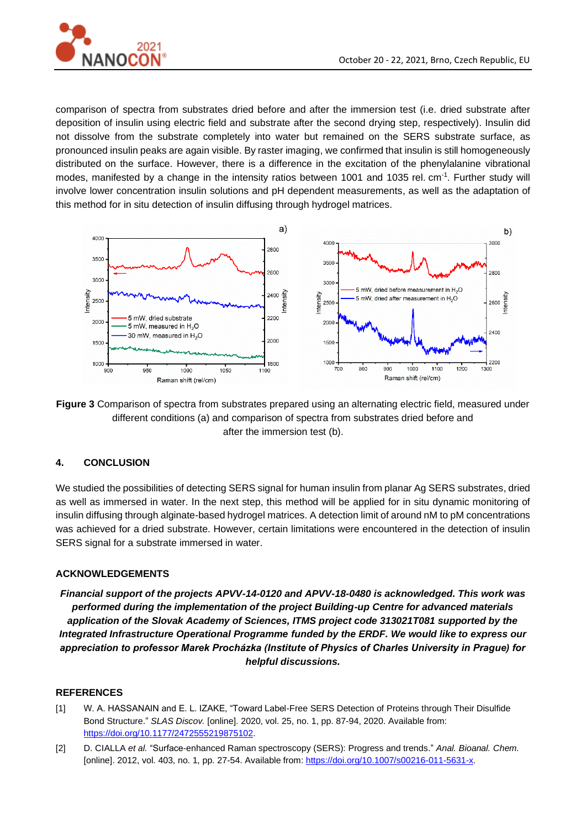

comparison of spectra from substrates dried before and after the immersion test (i.e. dried substrate after deposition of insulin using electric field and substrate after the second drying step, respectively). Insulin did not dissolve from the substrate completely into water but remained on the SERS substrate surface, as pronounced insulin peaks are again visible. By raster imaging, we confirmed that insulin is still homogeneously distributed on the surface. However, there is a difference in the excitation of the phenylalanine vibrational modes, manifested by a change in the intensity ratios between 1001 and 1035 rel. cm<sup>-1</sup>. Further study will involve lower concentration insulin solutions and pH dependent measurements, as well as the adaptation of this method for in situ detection of insulin diffusing through hydrogel matrices.



**Figure 3** Comparison of spectra from substrates prepared using an alternating electric field, measured under different conditions (a) and comparison of spectra from substrates dried before and after the immersion test (b).

## **4. CONCLUSION**

We studied the possibilities of detecting SERS signal for human insulin from planar Ag SERS substrates, dried as well as immersed in water. In the next step, this method will be applied for in situ dynamic monitoring of insulin diffusing through alginate-based hydrogel matrices. A detection limit of around nM to pM concentrations was achieved for a dried substrate. However, certain limitations were encountered in the detection of insulin SERS signal for a substrate immersed in water.

## **ACKNOWLEDGEMENTS**

*Financial support of the projects APVV-14-0120 and APVV-18-0480 is acknowledged. This work was performed during the implementation of the project Building-up Centre for advanced materials application of the Slovak Academy of Sciences, ITMS project code 313021T081 supported by the Integrated Infrastructure Operational Programme funded by the ERDF. We would like to express our appreciation to professor Marek Procházka (Institute of Physics of Charles University in Prague) for helpful discussions.*

## **REFERENCES**

- [1] W. A. HASSANAIN and E. L. IZAKE, "Toward Label-Free SERS Detection of Proteins through Their Disulfide Bond Structure." *SLAS Discov.* [online]. 2020, vol. 25, no. 1, pp. 87-94, 2020. Available from: [https://doi.org/10.1177/2472555219875102.](https://doi.org/10.1177/2472555219875102)
- [2] D. CIALLA *et al.* "Surface-enhanced Raman spectroscopy (SERS): Progress and trends." *Anal. Bioanal. Chem.* [online]. 2012, vol. 403, no. 1, pp. 27-54. Available from[: https://doi.org/10.1007/s00216-011-5631-x.](https://doi.org/10.1007/s00216-011-5631-x)